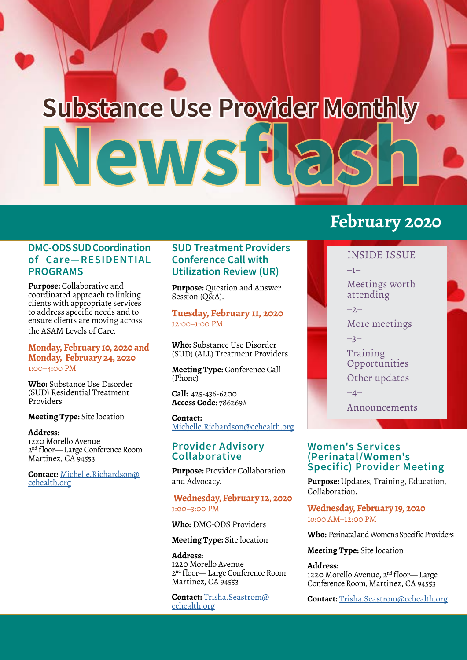# **Newsflash Substance Use Provider Monthly**

#### **DMC-ODS SUD Coordination of Care—RESIDENTIAL PROGRAMS**

**Purpose:** Collaborative and coordinated approach to linking clients with appropriate services to address specific needs and to ensure clients are moving across the ASAM Levels of Care.

#### **Monday, February 10, 2020 and Monday, February 24, 2020** 1:00–4:00 PM

**Who:** Substance Use Disorder (SUD) Residential Treatment Providers

#### **Meeting Type:** Site location

**Address:** 1220 Morello Avenue 2nd floor— Large Conference Room Martinez, CA 94553

**Contact:** [Michelle.Richardson@](mailto:Michelle.Richardson%40cchealth.org?subject=Coordination%20of%20Care-%20Residential%20Programs) [cchealth.org](mailto:Michelle.Richardson%40cchealth.org?subject=Coordination%20of%20Care-%20Residential%20Programs)

#### **SUD Treatment Providers Conference Call with Utilization Review (UR)**

**Purpose:** Question and Answer Session (O&A).

**Tuesday, February 11, 2020** 12:00–1:00 PM

**Who:** Substance Use Disorder (SUD) (ALL) Treatment Providers

**Meeting Type:** Conference Call (Phone)

**Call:** 425-436-6200 **Access Code:** 786269#

**Contact:** [Michelle.Richardson@cchealth.org](mailto:Michelle.Richardson%40cchealth.org?subject=Coordination%20of%20Care-%20Residential%20Programs)

#### **Provider Advisory Collaborative**

**Purpose:** Provider Collaboration and Advocacy.

#### **Wednesday, February 12, 2020** 1:00–3:00 PM

**Who:** DMC-ODS Providers

**Meeting Type:** Site location

**Address:** 1220 Morello Avenue 2nd floor— Large Conference Room Martinez, CA 94553

**Contact:** [Trisha.Seastrom@](mailto:Trisha.Seastrom%40cchealth.org?subject=Provider%20Advisory%20Collaborative) [cchealth.org](mailto:Trisha.Seastrom%40cchealth.org?subject=Provider%20Advisory%20Collaborative)

# **February 2020**

INSIDE ISSUE –1–

Meetings worth attending

 $-2-$ 

More meetings

–3–

Training Opportunities Other updates

–4–

Announcements

#### **Women's Services (Perinatal/Women's Specific) Provider Meeting**

**Purpose:** Updates, Training, Education, Collaboration.

**Wednesday, February 19, 2020** 1o:00 AM–12:00 PM

**Who:** Perinatal and Women's Specific Providers

**Meeting Type:** Site location

#### **Address:**

1220 Morello Avenue, 2nd floor— Large Conference Room, Martinez, CA 94553

**Contact:** [Trisha.Seastrom@cchealth.org](mailto:Trisha.Seastrom%40cchealth.org?subject=Women%27s%20Services%20Provider%20Meeting)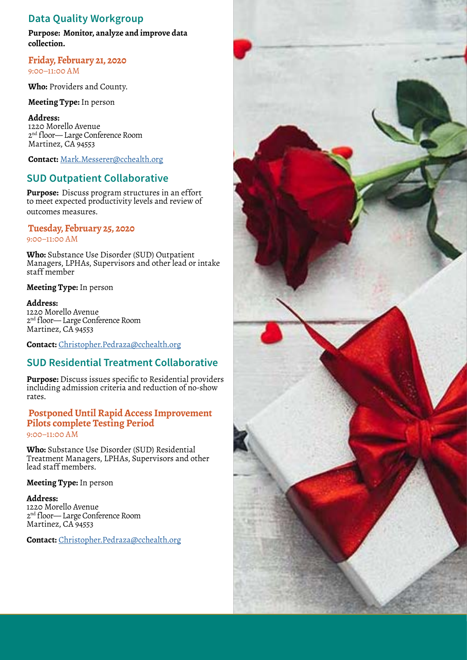## **Data Quality Workgroup**

**Purpose: Monitor, analyze and improve data collection.**

**Friday, February 21, 2020** 9:00–11:00 AM

**Who:** Providers and County.

**Meeting Type:** In person

**Address:** 1220 Morello Avenue 2nd floor— Large Conference Room Martinez, CA 94553

**Contact:** [Mark.Messerer@cchealth.org](mailto:Mark.Messerer%40cchealth.org?subject=Data%20Quality%20Workgroup)

# **SUD Outpatient Collaborative**

**Purpose:** Discuss program structures in an effort to meet expected productivity levels and review of outcomes measures.

#### **Tuesday, February 25, 2020**

9:00–11:00 AM

**Who:** Substance Use Disorder (SUD) Outpatient Managers, LPHAs, Supervisors and other lead or intake staff member

**Meeting Type:** In person

**Address:** 1220 Morello Avenue 2nd floor— Large Conference Room Martinez, CA 94553

**Contact:** Christopher.Pedraza[@cchealth.org](mailto:Mark.Messerer%40cchealth.org?subject=SUD%20Outpatient%20Collaborative)

# **SUD Residential Treatment Collaborative**

**Purpose:** Discuss issues specific to Residential providers including admission criteria and reduction of no-show rates.

#### **Postponed Until Rapid Access Improvement Pilots complete Testing Period** 9:00–11:00 AM

**Who:** Substance Use Disorder (SUD) Residential Treatment Managers, LPHAs, Supervisors and other lead staff members.

#### **Meeting Type:** In person

**Address:** 1220 Morello Avenue 2nd floor— Large Conference Room Martinez, CA 94553

**Contact:** [Christopher.Pedraza@cchealth.org](mailto:Christopher.pedraza%40cchealth.org?subject=SUD%20Residential%20Treatment%20Collaborative)

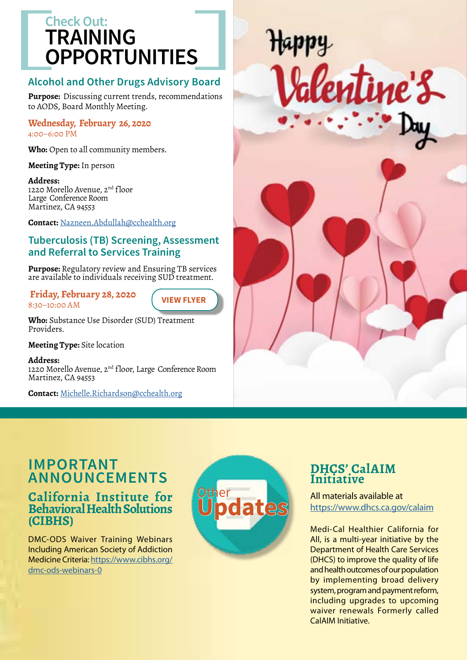# **TRAINING OPPORTUNITIES Check Out:**

# **Alcohol and Other Drugs Advisory Board**

**Purpose:** Discussing current trends, recommendations to AODS, Board Monthly Meeting.

**Wednesday, February 26, 2020**  4:00–6:00 PM

**Who:** Open to all community members.

#### **Meeting Type:** In person

**Address:**

1220 Morello Avenue, 2<sup>nd</sup> floor Large Conference Room Martinez, CA 94553

**Contact:** [Nazneen.Abdullah@cchealth.org](mailto:Nazneen.Abdullah%40cchealth.org?subject=Alcohol%20and%20Other%20Drugs%20Advisory%20Board)

## **Tuberculosis (TB) Screening, Assessment and Referral to Services Training**

**Purpose:** Regulatory review and Ensuring TB services are available to individuals receiving SUD treatment.

 **Friday, February 28, 2020** 8:30–10:00 AM

**[VIEW FLYER](https://cchealth.org/aod/pdf/Training-TB-Flyer-0228-2020.pdf)**

**Who:** Substance Use Disorder (SUD) Treatment Providers.

**Meeting Type:** Site location

**Address:** 1220 Morello Avenue, 2<sup>nd</sup> floor, Large Conference Room Martinez, CA 94553

**Contact:** [Michelle.Richardson@cchealth.org](mailto:Michelle.Richardson%40cchealth.org?subject=TB%20Screening%2C%20Assessment%20%26%20Referral%20to%20Svcs%20Trng)



# **IMPORTANT ANNOUNCEMENTS**

# **California Institute for Behavioral Health Solutions (CIBHS)**

DMC-ODS Waiver Training Webinars Including American Society of Addiction Medicine Criteria: [https://www.cibhs.org/](https://www.cibhs.org/dmc-ods-webinars-0) [dmc-ods-webinars-0](https://www.cibhs.org/dmc-ods-webinars-0)



# **DHCS' CalAIM Initiative**

All materials available at <https://www.dhcs.ca.gov/calaim>

Medi-Cal Healthier California for All, is a multi-year initiative by the Department of Health Care Services (DHCS) to improve the quality of life and health outcomes of our population by implementing broad delivery system, program and payment reform, including upgrades to upcoming waiver renewals Formerly called CalAIM Initiative.